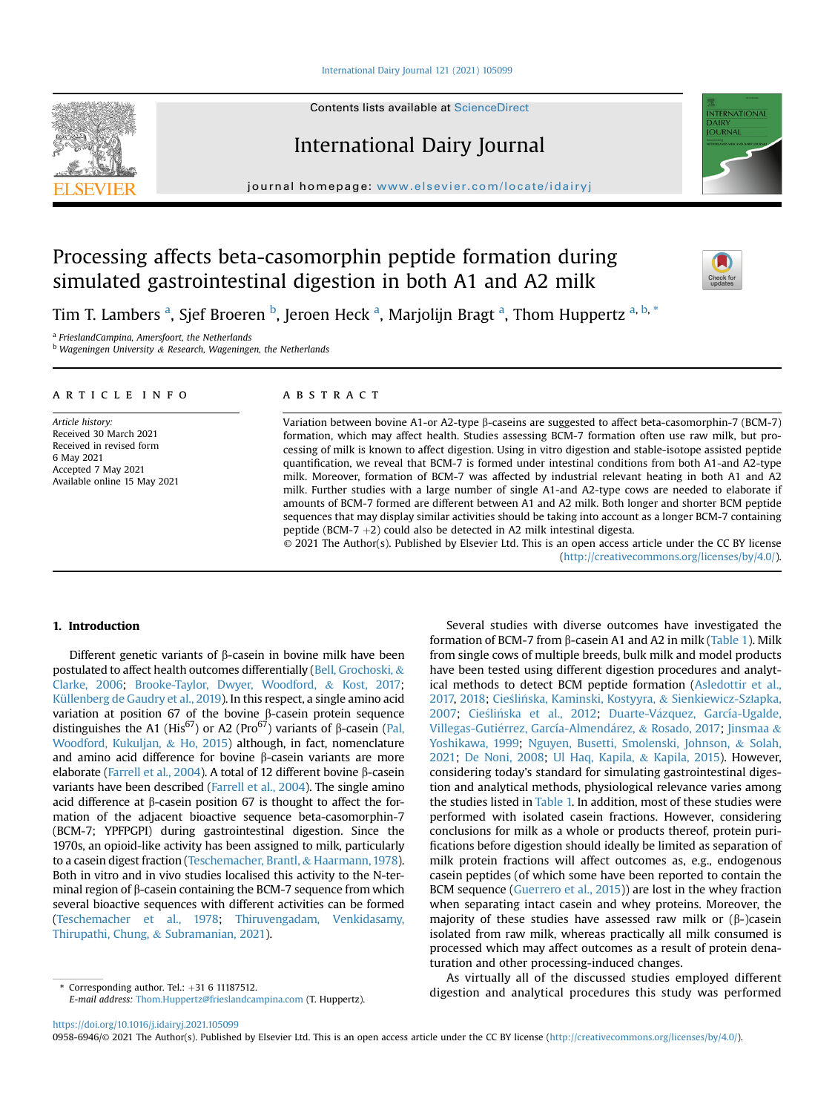# [International Dairy Journal 121 \(2021\) 105099](https://doi.org/10.1016/j.idairyj.2021.105099)

Contents lists available at [ScienceDirect](www.sciencedirect.com/science/journal/09586946)

# International Dairy Journal

journal homepage: [www.elsevier.com/locate/idairyj](http://www.elsevier.com/locate/idairyj)

# Processing affects beta-casomorphin peptide formation during simulated gastrointestinal digestion in both A1 and A2 milk

Tim T. L[a](#page-0-0)m[b](#page-0-1)ers <sup>a</sup>, Sjef Broeren <sup>b</sup>, Jeroen Heck <sup>a</sup>, Marjolijn Bragt <sup>a</sup>, Thom Huppertz <sup>a, b, [\\*](#page-0-2)</sup>

<span id="page-0-0"></span><sup>a</sup> FrieslandCampina, Amersfoort, the Netherlands

<span id="page-0-1"></span> $<sup>b</sup>$  Wageningen University & Research, Wageningen, the Netherlands</sup>

### article info

Article history: Received 30 March 2021 Received in revised form 6 May 2021 Accepted 7 May 2021 Available online 15 May 2021

# ABSTRACT

Variation between bovine A1-or A2-type  $\beta$ -caseins are suggested to affect beta-casomorphin-7 (BCM-7) formation, which may affect health. Studies assessing BCM-7 formation often use raw milk, but processing of milk is known to affect digestion. Using in vitro digestion and stable-isotope assisted peptide quantification, we reveal that BCM-7 is formed under intestinal conditions from both A1-and A2-type milk. Moreover, formation of BCM-7 was affected by industrial relevant heating in both A1 and A2 milk. Further studies with a large number of single A1-and A2-type cows are needed to elaborate if amounts of BCM-7 formed are different between A1 and A2 milk. Both longer and shorter BCM peptide sequences that may display similar activities should be taking into account as a longer BCM-7 containing peptide (BCM-7  $+2$ ) could also be detected in A2 milk intestinal digesta.

© 2021 The Author(s). Published by Elsevier Ltd. This is an open access article under the CC BY license [\(http://creativecommons.org/licenses/by/4.0/](http://creativecommons.org/licenses/by/4.0/)).

# 1. Introduction

Different genetic variants of  $\beta$ -casein in bovine milk have been postulated to affect health outcomes differentially [\(Bell, Grochoski,](#page-4-0) & [Clarke, 2006;](#page-4-0) [Brooke-Taylor, Dwyer, Woodford,](#page-5-0) & [Kost, 2017;](#page-5-0) [Küllenberg de Gaudry et al., 2019\)](#page-5-1). In this respect, a single amino acid variation at position 67 of the bovine  $\beta$ -casein protein sequence distinguishes the A1 (His<sup>67</sup>) or A2 (Pro<sup>67</sup>) variants of  $\beta$ -casein ([Pal,](#page-5-2) [Woodford, Kukuljan,](#page-5-2) & [Ho, 2015](#page-5-2)) although, in fact, nomenclature and amino acid difference for bovine  $\beta$ -casein variants are more elaborate [\(Farrell et al., 2004](#page-5-3)). A total of 12 different bovine  $\beta$ -casein variants have been described ([Farrell et al., 2004\)](#page-5-3). The single amino acid difference at  $\beta$ -casein position 67 is thought to affect the formation of the adjacent bioactive sequence beta-casomorphin-7 (BCM-7; YPFPGPI) during gastrointestinal digestion. Since the 1970s, an opioid-like activity has been assigned to milk, particularly to a casein digest fraction [\(Teschemacher, Brantl,](#page-5-4) & [Haarmann, 1978\)](#page-5-4). Both in vitro and in vivo studies localised this activity to the N-terminal region of  $\beta$ -casein containing the BCM-7 sequence from which several bioactive sequences with different activities can be formed ([Teschemacher et al., 1978;](#page-5-4) [Thiruvengadam, Venkidasamy,](#page-5-5) [Thirupathi, Chung,](#page-5-5) & [Subramanian, 2021](#page-5-5)).

<span id="page-0-2"></span>E-mail address: [Thom.Huppertz@frieslandcampina.com](mailto:Thom.Huppertz@frieslandcampina.com) (T. Huppertz).

<https://doi.org/10.1016/j.idairyj.2021.105099>

0958-6946/© 2021 The Author(s). Published by Elsevier Ltd. This is an open access article under the CC BY license [\(http://creativecommons.org/licenses/by/4.0/](http://creativecommons.org/licenses/by/4.0/)).



As virtually all of the discussed studies employed different digestion and analytical procedures this study was performed \* Corresponding author. Tel.: <sup>þ</sup>31 6 11187512.







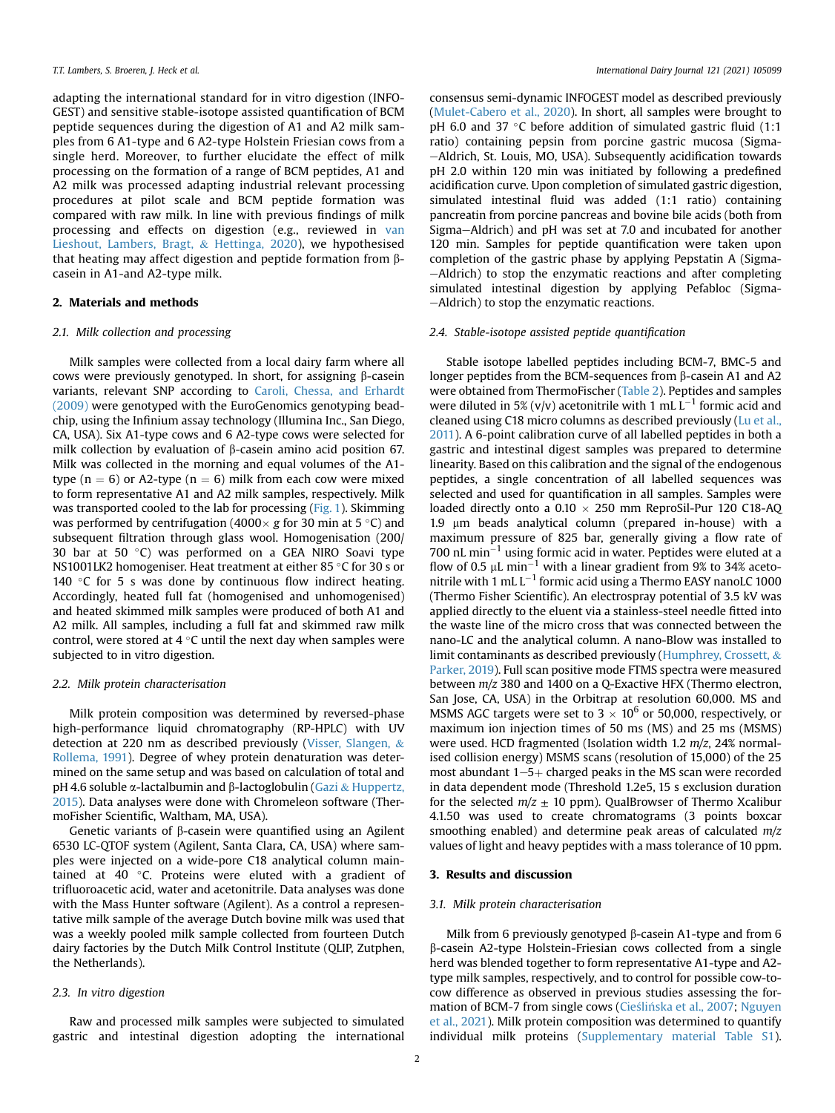adapting the international standard for in vitro digestion (INFO-GEST) and sensitive stable-isotope assisted quantification of BCM peptide sequences during the digestion of A1 and A2 milk samples from 6 A1-type and 6 A2-type Holstein Friesian cows from a single herd. Moreover, to further elucidate the effect of milk processing on the formation of a range of BCM peptides, A1 and A2 milk was processed adapting industrial relevant processing procedures at pilot scale and BCM peptide formation was compared with raw milk. In line with previous findings of milk processing and effects on digestion (e.g., reviewed in [van](#page-5-14) [Lieshout, Lambers, Bragt,](#page-5-14) & [Hettinga, 2020](#page-5-14)), we hypothesised that heating may affect digestion and peptide formation from  $\beta$ casein in A1-and A2-type milk.

#### 2. Materials and methods

#### 2.1. Milk collection and processing

Milk samples were collected from a local dairy farm where all cows were previously genotyped. In short, for assigning  $\beta$ -casein variants, relevant SNP according to [Caroli, Chessa, and Erhardt](#page-5-15) [\(2009\)](#page-5-15) were genotyped with the EuroGenomics genotyping beadchip, using the Infinium assay technology (Illumina Inc., San Diego, CA, USA). Six A1-type cows and 6 A2-type cows were selected for milk collection by evaluation of  $\beta$ -casein amino acid position 67. Milk was collected in the morning and equal volumes of the A1 type ( $n = 6$ ) or A2-type ( $n = 6$ ) milk from each cow were mixed to form representative A1 and A2 milk samples, respectively. Milk was transported cooled to the lab for processing ([Fig. 1](#page-3-0)). Skimming was performed by centrifugation (4000 $\times$  g for 30 min at 5 °C) and subsequent filtration through glass wool. Homogenisation (200/ 30 bar at 50 $\degree$ C) was performed on a GEA NIRO Soavi type NS1001LK2 homogeniser. Heat treatment at either 85  $\degree$ C for 30 s or 140  $\degree$ C for 5 s was done by continuous flow indirect heating. Accordingly, heated full fat (homogenised and unhomogenised) and heated skimmed milk samples were produced of both A1 and A2 milk. All samples, including a full fat and skimmed raw milk control, were stored at  $4^{\circ}$ C until the next day when samples were subjected to in vitro digestion.

#### 2.2. Milk protein characterisation

Milk protein composition was determined by reversed-phase high-performance liquid chromatography (RP-HPLC) with UV detection at 220 nm as described previously [\(Visser, Slangen,](#page-5-16) & [Rollema, 1991](#page-5-16)). Degree of whey protein denaturation was determined on the same setup and was based on calculation of total and pH 4.6 soluble  $\alpha$ -lactalbumin and  $\beta$ -lactoglobulin ([Gazi](#page-5-17) & [Huppertz,](#page-5-17) [2015\)](#page-5-17). Data analyses were done with Chromeleon software (ThermoFisher Scientific, Waltham, MA, USA).

Genetic variants of  $\beta$ -casein were quantified using an Agilent 6530 LC-QTOF system (Agilent, Santa Clara, CA, USA) where samples were injected on a wide-pore C18 analytical column maintained at 40  $\degree$ C. Proteins were eluted with a gradient of trifluoroacetic acid, water and acetonitrile. Data analyses was done with the Mass Hunter software (Agilent). As a control a representative milk sample of the average Dutch bovine milk was used that was a weekly pooled milk sample collected from fourteen Dutch dairy factories by the Dutch Milk Control Institute (QLIP, Zutphen, the Netherlands).

# 2.3. In vitro digestion

Raw and processed milk samples were subjected to simulated gastric and intestinal digestion adopting the international consensus semi-dynamic INFOGEST model as described previously ([Mulet-Cabero et al., 2020\)](#page-5-18). In short, all samples were brought to pH 6.0 and 37 $\degree$ C before addition of simulated gastric fluid (1:1 ratio) containing pepsin from porcine gastric mucosa (Sigma--Aldrich, St. Louis, MO, USA). Subsequently acidification towards pH 2.0 within 120 min was initiated by following a predefined acidification curve. Upon completion of simulated gastric digestion, simulated intestinal fluid was added (1:1 ratio) containing pancreatin from porcine pancreas and bovine bile acids (both from Sigma-Aldrich) and pH was set at 7.0 and incubated for another 120 min. Samples for peptide quantification were taken upon completion of the gastric phase by applying Pepstatin A (Sigma--Aldrich) to stop the enzymatic reactions and after completing simulated intestinal digestion by applying Pefabloc (Sigma- $-Aldrich$ ) to stop the enzymatic reactions.

### 2.4. Stable-isotope assisted peptide quantification

Stable isotope labelled peptides including BCM-7, BMC-5 and longer peptides from the BCM-sequences from  $\beta$ -casein A1 and A2 were obtained from ThermoFischer ([Table 2](#page-3-1)). Peptides and samples were diluted in 5% (v/v) acetonitrile with 1 mL  $L^{-1}$  formic acid and cleaned using C18 micro columns as described previously ([Lu et al.,](#page-5-19) [2011](#page-5-19)). A 6-point calibration curve of all labelled peptides in both a gastric and intestinal digest samples was prepared to determine linearity. Based on this calibration and the signal of the endogenous peptides, a single concentration of all labelled sequences was selected and used for quantification in all samples. Samples were loaded directly onto a  $0.10 \times 250$  mm ReproSil-Pur 120 C18-AQ 1.9 um beads analytical column (prepared in-house) with a maximum pressure of 825 bar, generally giving a flow rate of 700 nL min $^{-1}$  using formic acid in water. Peptides were eluted at a flow of 0.5  $\mu$ L min<sup>-1</sup> with a linear gradient from 9% to 34% acetonitrile with 1 mL  $L^{-1}$  formic acid using a Thermo EASY nanoLC 1000 (Thermo Fisher Scientific). An electrospray potential of 3.5 kV was applied directly to the eluent via a stainless-steel needle fitted into the waste line of the micro cross that was connected between the nano-LC and the analytical column. A nano-Blow was installed to limit contaminants as described previously ([Humphrey, Crossett,](#page-5-20) & [Parker, 2019](#page-5-20)). Full scan positive mode FTMS spectra were measured between m/z 380 and 1400 on a Q-Exactive HFX (Thermo electron, San Jose, CA, USA) in the Orbitrap at resolution 60,000. MS and MSMS AGC targets were set to  $3 \times 10^6$  or 50,000, respectively, or maximum ion injection times of 50 ms (MS) and 25 ms (MSMS) were used. HCD fragmented (Isolation width 1.2 m/z, 24% normalised collision energy) MSMS scans (resolution of 15,000) of the 25 most abundant  $1-5+$  charged peaks in the MS scan were recorded in data dependent mode (Threshold 1.2e5, 15 s exclusion duration for the selected  $m/z \pm 10$  ppm). QualBrowser of Thermo Xcalibur 4.1.50 was used to create chromatograms (3 points boxcar smoothing enabled) and determine peak areas of calculated m/z values of light and heavy peptides with a mass tolerance of 10 ppm.

# 3. Results and discussion

#### 3.1. Milk protein characterisation

Milk from 6 previously genotyped  $\beta$ -casein A1-type and from 6 b-casein A2-type Holstein-Friesian cows collected from a single herd was blended together to form representative A1-type and A2 type milk samples, respectively, and to control for possible cow-tocow difference as observed in previous studies assessing the for-mation of BCM-7 from single cows [\(Cie](#page-5-6)ślińska et al., 2007; [Nguyen](#page-5-10) [et al., 2021\)](#page-5-10). Milk protein composition was determined to quantify individual milk proteins (Supplementary material Table S1).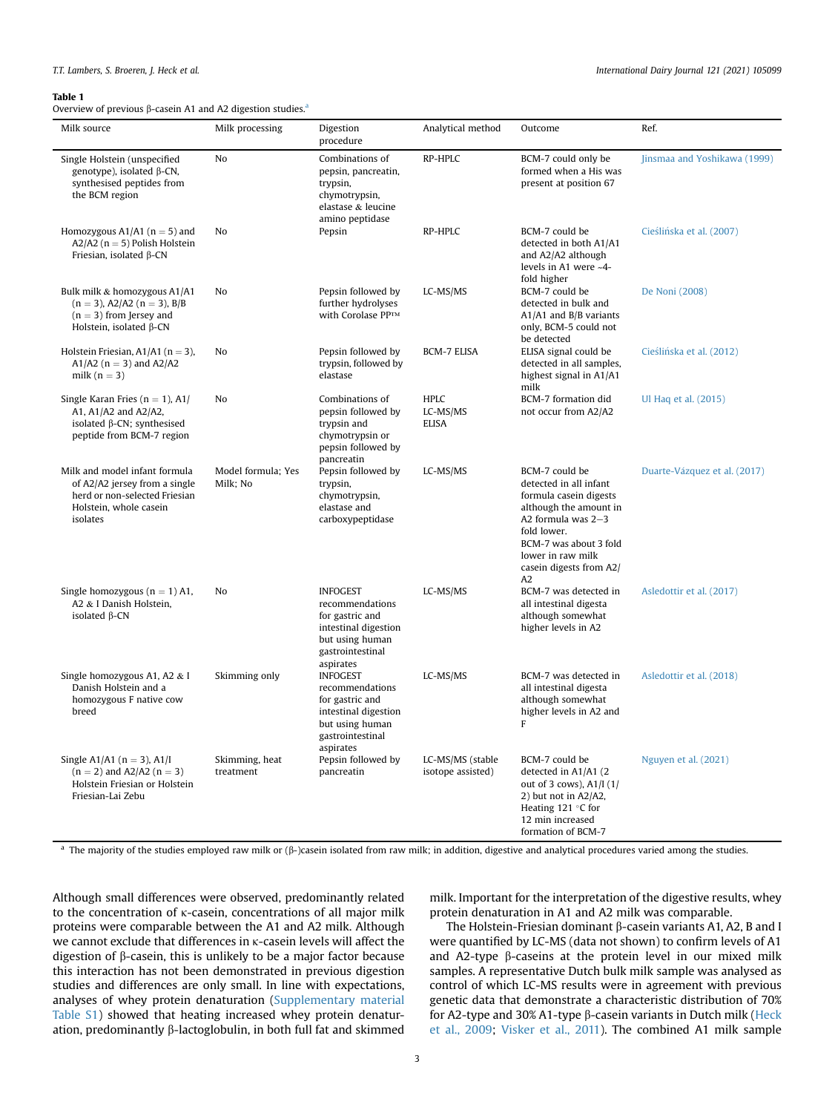#### <span id="page-2-0"></span>Table 1

Overview of previous  $\beta$  $\beta$ -casein A1 and A2 digestion studies.<sup>a</sup>

| Milk source                                                                                                                           | Milk processing                | Digestion<br>procedure                                                                                                            | Analytical method                       | Outcome                                                                                                                                                                                                             | Ref.                         |
|---------------------------------------------------------------------------------------------------------------------------------------|--------------------------------|-----------------------------------------------------------------------------------------------------------------------------------|-----------------------------------------|---------------------------------------------------------------------------------------------------------------------------------------------------------------------------------------------------------------------|------------------------------|
| Single Holstein (unspecified<br>genotype), isolated $\beta$ -CN,<br>synthesised peptides from<br>the BCM region                       | N <sub>o</sub>                 | Combinations of<br>pepsin, pancreatin,<br>trypsin,<br>chymotrypsin,<br>elastase & leucine<br>amino peptidase                      | RP-HPLC                                 | BCM-7 could only be<br>formed when a His was<br>present at position 67                                                                                                                                              | Jinsmaa and Yoshikawa (1999) |
| Homozygous A1/A1 ( $n = 5$ ) and<br>A2/A2 ( $n = 5$ ) Polish Holstein<br>Friesian, isolated β-CN                                      | N <sub>o</sub>                 | Pepsin                                                                                                                            | RP-HPLC                                 | BCM-7 could be<br>detected in both A1/A1<br>and A2/A2 although<br>levels in A1 were ~4-<br>fold higher                                                                                                              | Cieślińska et al. (2007)     |
| Bulk milk & homozygous A1/A1<br>$(n = 3)$ , A2/A2 $(n = 3)$ , B/B<br>$(n = 3)$ from Jersey and<br>Holstein, isolated $\beta$ -CN      | N <sub>o</sub>                 | Pepsin followed by<br>further hydrolyses<br>With Corolase PPTM                                                                    | LC-MS/MS                                | BCM-7 could be<br>detected in bulk and<br>A1/A1 and B/B variants<br>only, BCM-5 could not<br>be detected                                                                                                            | De Noni (2008)               |
| Holstein Friesian, $A1/A1$ (n = 3),<br>A1/A2 ( $n = 3$ ) and A2/A2<br>milk $(n = 3)$                                                  | N <sub>o</sub>                 | Pepsin followed by<br>trypsin, followed by<br>elastase                                                                            | <b>BCM-7 ELISA</b>                      | ELISA signal could be<br>detected in all samples,<br>highest signal in A1/A1<br>milk                                                                                                                                | Cieślińska et al. (2012)     |
| Single Karan Fries ( $n = 1$ ), A1/<br>A1, A1/A2 and A2/A2,<br>isolated $\beta$ -CN; synthesised<br>peptide from BCM-7 region         | N <sub>o</sub>                 | Combinations of<br>pepsin followed by<br>trypsin and<br>chymotrypsin or<br>pepsin followed by<br>pancreatin                       | <b>HPLC</b><br>LC-MS/MS<br><b>ELISA</b> | BCM-7 formation did<br>not occur from A2/A2                                                                                                                                                                         | Ul Haq et al. (2015)         |
| Milk and model infant formula<br>of A2/A2 jersey from a single<br>herd or non-selected Friesian<br>Holstein, whole casein<br>isolates | Model formula; Yes<br>Milk; No | Pepsin followed by<br>trypsin,<br>chymotrypsin,<br>elastase and<br>carboxypeptidase                                               | LC-MS/MS                                | BCM-7 could be<br>detected in all infant<br>formula casein digests<br>although the amount in<br>A2 formula was $2-3$<br>fold lower.<br>BCM-7 was about 3 fold<br>lower in raw milk<br>casein digests from A2/<br>A2 | Duarte-Vázquez et al. (2017) |
| Single homozygous $(n = 1)$ A1,<br>A2 & I Danish Holstein,<br>isolated $\beta$ -CN                                                    | N <sub>0</sub>                 | <b>INFOGEST</b><br>recommendations<br>for gastric and<br>intestinal digestion<br>but using human<br>gastrointestinal<br>aspirates | LC-MS/MS                                | BCM-7 was detected in<br>all intestinal digesta<br>although somewhat<br>higher levels in A2                                                                                                                         | Asledottir et al. (2017)     |
| Single homozygous A1, A2 & I<br>Danish Holstein and a<br>homozygous F native cow<br>breed                                             | Skimming only                  | <b>INFOGEST</b><br>recommendations<br>for gastric and<br>intestinal digestion<br>but using human<br>gastrointestinal<br>aspirates | LC-MS/MS                                | BCM-7 was detected in<br>all intestinal digesta<br>although somewhat<br>higher levels in A2 and<br>F                                                                                                                | Asledottir et al. (2018)     |
| Single A1/A1 ( $n = 3$ ), A1/I<br>$(n = 2)$ and A2/A2 $(n = 3)$<br>Holstein Friesian or Holstein<br>Friesian-Lai Zebu                 | Skimming, heat<br>treatment    | Pepsin followed by<br>pancreatin                                                                                                  | LC-MS/MS (stable<br>isotope assisted)   | BCM-7 could be<br>detected in A1/A1 (2)<br>out of 3 cows), A1/I (1/<br>2) but not in A2/A2,<br>Heating 121 °C for<br>12 min increased<br>formation of BCM-7                                                         | Nguyen et al. (2021)         |

<span id="page-2-1"></span> $a$  The majority of the studies employed raw milk or ( $\beta$ -)casein isolated from raw milk; in addition, digestive and analytical procedures varied among the studies.

Although small differences were observed, predominantly related to the concentration of k-casein, concentrations of all major milk proteins were comparable between the A1 and A2 milk. Although we cannot exclude that differences in k-casein levels will affect the digestion of  $\beta$ -casein, this is unlikely to be a major factor because this interaction has not been demonstrated in previous digestion studies and differences are only small. In line with expectations, analyses of whey protein denaturation (Supplementary material Table S1) showed that heating increased whey protein denaturation, predominantly  $\beta$ -lactoglobulin, in both full fat and skimmed

milk. Important for the interpretation of the digestive results, whey protein denaturation in A1 and A2 milk was comparable.

The Holstein-Friesian dominant  $\beta$ -casein variants A1, A2, B and I were quantified by LC-MS (data not shown) to confirm levels of A1 and A2-type  $\beta$ -caseins at the protein level in our mixed milk samples. A representative Dutch bulk milk sample was analysed as control of which LC-MS results were in agreement with previous genetic data that demonstrate a characteristic distribution of 70% for A2-type and 30% A1-type  $\beta$ -casein variants in Dutch milk ([Heck](#page-5-21) [et al., 2009](#page-5-21); [Visker et al., 2011](#page-5-22)). The combined A1 milk sample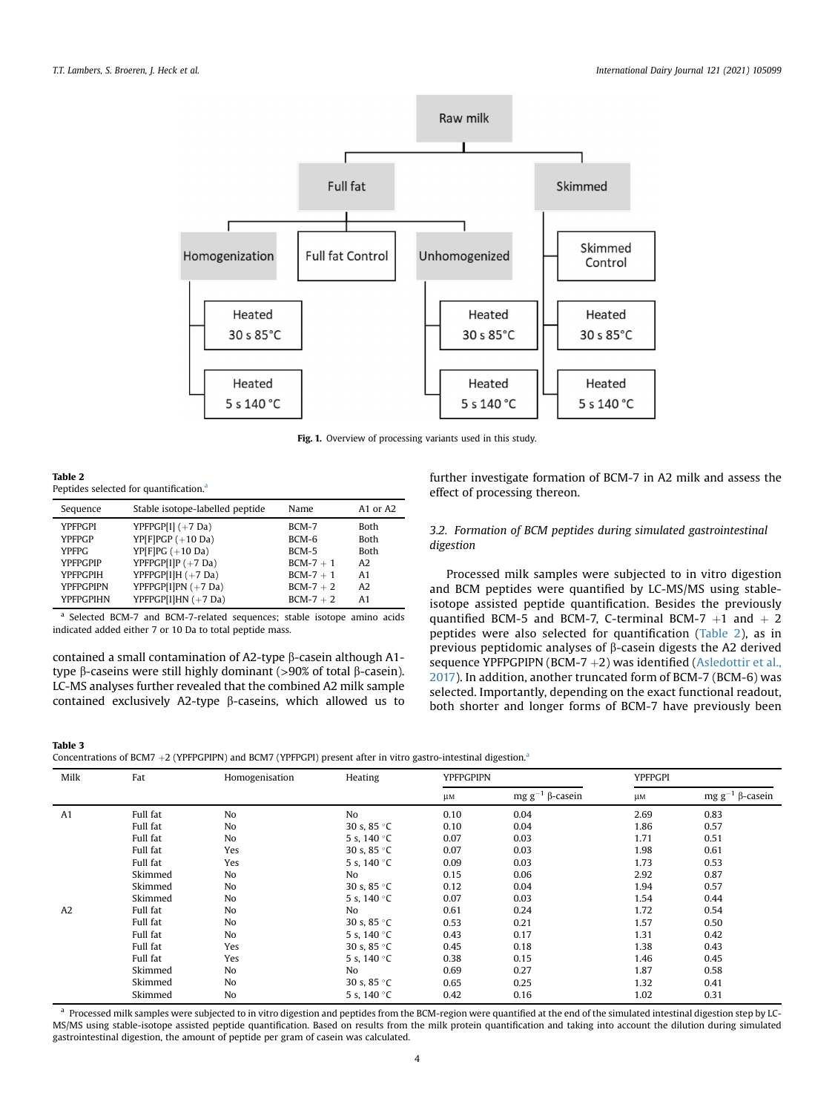<span id="page-3-0"></span>

Fig. 1. Overview of processing variants used in this study.

<span id="page-3-1"></span>Table 2 Peptides selected for qu[a](#page-3-3)ntification.<sup>a</sup>

<span id="page-3-4"></span>Table 3

| Sequence         | Stable isotope-labelled peptide | Name      | A <sub>1</sub> or A <sub>2</sub> |
|------------------|---------------------------------|-----------|----------------------------------|
| <b>YPFPGPI</b>   | YPFPGP[I] $(+7$ Da)             | BCM-7     | <b>Both</b>                      |
| <b>YPFPGP</b>    | $YP[FlPGP(+10 Da)]$             | BCM-6     | <b>Both</b>                      |
| YPFPG            | $YP[FlPG (+10 Da)]$             | $BCM-5$   | <b>Both</b>                      |
| <b>YPFPGPIP</b>  | YPFPGP[I]P $(+7$ Da)            | $BCM-7+1$ | A2                               |
| <b>YPFPGPIH</b>  | YPFPGP[I]H $(+7$ Da)            | $BCM-7+1$ | A <sub>1</sub>                   |
| <b>YPFPGPIPN</b> | YPFPGP[I]PN $(+7$ Da)           | $BCM-7+2$ | A2                               |
| <b>YPFPGPIHN</b> | YPFPGP[I]HN $(+7$ Da)           | $BCM-7+2$ | A <sub>1</sub>                   |

<span id="page-3-3"></span>Selected BCM-7 and BCM-7-related sequences; stable isotope amino acids indicated added either 7 or 10 Da to total peptide mass.

contained a small contamination of A2-type  $\beta$ -casein although A1type  $\beta$ -caseins were still highly dominant (>90% of total  $\beta$ -casein). LC-MS analyses further revealed that the combined A2 milk sample contained exclusively A2-type  $\beta$ -caseins, which allowed us to further investigate formation of BCM-7 in A2 milk and assess the effect of processing thereon.

# 3.2. Formation of BCM peptides during simulated gastrointestinal digestion

Processed milk samples were subjected to in vitro digestion and BCM peptides were quantified by LC-MS/MS using stableisotope assisted peptide quantification. Besides the previously quantified BCM-5 and BCM-7, C-terminal BCM-7  $+1$  and  $+2$ peptides were also selected for quantification [\(Table 2\)](#page-3-1), as in previous peptidomic analyses of  $\beta$ -casein digests the A2 derived sequence YPFPGPIPN (BCM-7  $+2$ ) was identified ([Asledottir et al.,](#page-4-1) [2017](#page-4-1)). In addition, another truncated form of BCM-7 (BCM-6) was selected. Importantly, depending on the exact functional readout, both shorter and longer forms of BCM-7 have previously been

| Concentrations of BCM7 $+2$ (YPFPGPIPN) and BCM7 (YPFPGPI) present after in vitro gastro-intestinal digestion. <sup>a</sup> |  |  |  |  |
|-----------------------------------------------------------------------------------------------------------------------------|--|--|--|--|
|                                                                                                                             |  |  |  |  |

| Milk | Fat      | Homogenisation | Heating              |         | <b>YPFPGPIPN</b>              |      | <b>YPFPGPI</b>              |  |
|------|----------|----------------|----------------------|---------|-------------------------------|------|-----------------------------|--|
|      |          |                |                      | $\mu$ M | mg $\mathsf{g}^{-1}$ ß-casein | μм   | mg g <sup>-1</sup> β-casein |  |
| A1   | Full fat | No             | No                   | 0.10    | 0.04                          | 2.69 | 0.83                        |  |
|      | Full fat | No             | 30 s, $85 °C$        | 0.10    | 0.04                          | 1.86 | 0.57                        |  |
|      | Full fat | No             | 5 s, 140 $\degree$ C | 0.07    | 0.03                          | 1.71 | 0.51                        |  |
|      | Full fat | Yes            | 30 s, $85 °C$        | 0.07    | 0.03                          | 1.98 | 0.61                        |  |
|      | Full fat | Yes            | 5 s, 140 °C          | 0.09    | 0.03                          | 1.73 | 0.53                        |  |
|      | Skimmed  | No             | No                   | 0.15    | 0.06                          | 2.92 | 0.87                        |  |
|      | Skimmed  | No             | 30 s, $85 °C$        | 0.12    | 0.04                          | 1.94 | 0.57                        |  |
|      | Skimmed  | No             | 5 s, 140 °C          | 0.07    | 0.03                          | 1.54 | 0.44                        |  |
| A2   | Full fat | No             | No                   | 0.61    | 0.24                          | 1.72 | 0.54                        |  |
|      | Full fat | No             | 30 s, $85 °C$        | 0.53    | 0.21                          | 1.57 | 0.50                        |  |
|      | Full fat | No             | 5 s, 140 $\degree$ C | 0.43    | 0.17                          | 1.31 | 0.42                        |  |
|      | Full fat | Yes            | 30 s, $85 °C$        | 0.45    | 0.18                          | 1.38 | 0.43                        |  |
|      | Full fat | Yes            | 5 s, 140 $\degree$ C | 0.38    | 0.15                          | 1.46 | 0.45                        |  |
|      | Skimmed  | No             | No                   | 0.69    | 0.27                          | 1.87 | 0.58                        |  |
|      | Skimmed  | No             | 30 s, $85 °C$        | 0.65    | 0.25                          | 1.32 | 0.41                        |  |
|      | Skimmed  | No             | 5 s. 140 °C          | 0.42    | 0.16                          | 1.02 | 0.31                        |  |

<span id="page-3-2"></span><sup>a</sup> Processed milk samples were subjected to in vitro digestion and peptides from the BCM-region were quantified at the end of the simulated intestinal digestion step by LC-MS/MS using stable-isotope assisted peptide quantification. Based on results from the milk protein quantification and taking into account the dilution during simulated gastrointestinal digestion, the amount of peptide per gram of casein was calculated.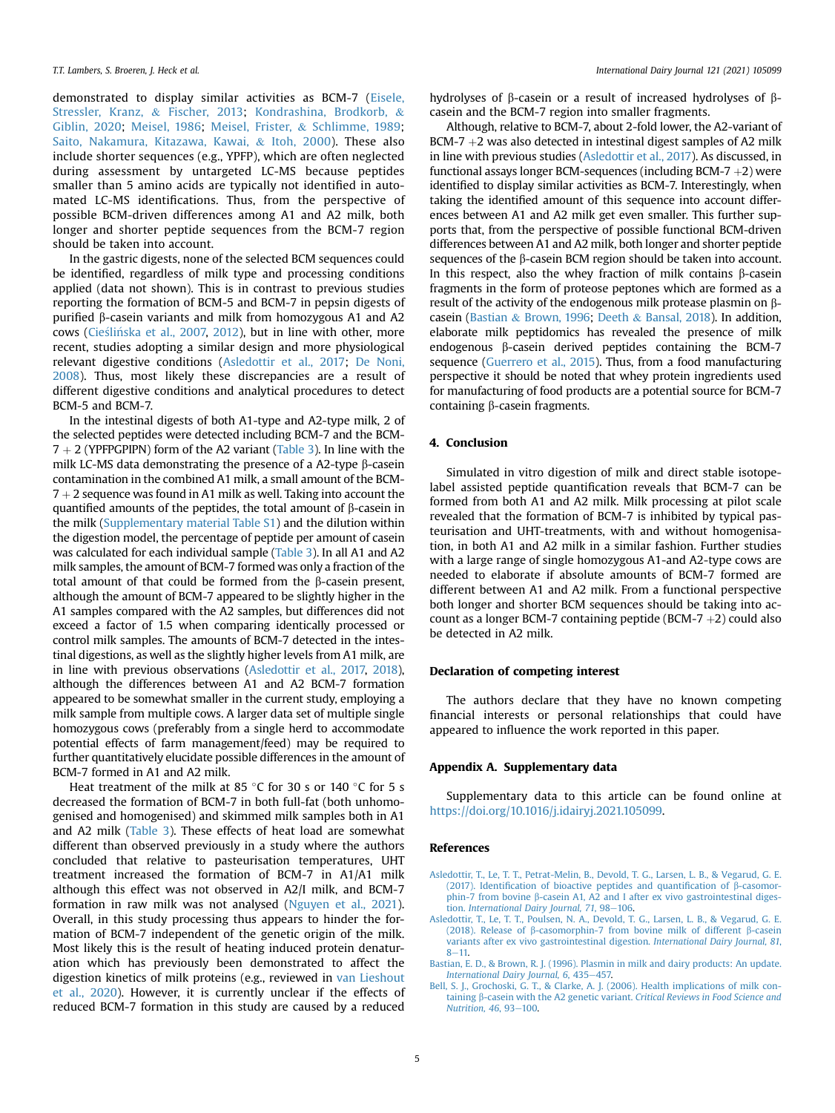demonstrated to display similar activities as BCM-7 [\(Eisele,](#page-5-23) [Stressler, Kranz,](#page-5-23) & [Fischer, 2013;](#page-5-23) [Kondrashina, Brodkorb,](#page-5-24) & [Giblin, 2020;](#page-5-24) [Meisel, 1986](#page-5-25); [Meisel, Frister,](#page-5-26) & [Schlimme, 1989;](#page-5-26) [Saito, Nakamura, Kitazawa, Kawai,](#page-5-27) & [Itoh, 2000](#page-5-27)). These also include shorter sequences (e.g., YPFP), which are often neglected during assessment by untargeted LC-MS because peptides smaller than 5 amino acids are typically not identified in automated LC-MS identifications. Thus, from the perspective of possible BCM-driven differences among A1 and A2 milk, both longer and shorter peptide sequences from the BCM-7 region should be taken into account.

In the gastric digests, none of the selected BCM sequences could be identified, regardless of milk type and processing conditions applied (data not shown). This is in contrast to previous studies reporting the formation of BCM-5 and BCM-7 in pepsin digests of purified b-casein variants and milk from homozygous A1 and A2 cows [\(Cie](#page-5-6)ślińska et al., 2007, [2012](#page-5-7)), but in line with other, more recent, studies adopting a similar design and more physiological relevant digestive conditions [\(Asledottir et al., 2017](#page-4-1); [De Noni,](#page-5-11) [2008\)](#page-5-11). Thus, most likely these discrepancies are a result of different digestive conditions and analytical procedures to detect BCM-5 and BCM-7.

In the intestinal digests of both A1-type and A2-type milk, 2 of the selected peptides were detected including BCM-7 and the BCM- $7 + 2$  (YPFPGPIPN) form of the A2 variant ([Table 3](#page-3-4)). In line with the milk LC-MS data demonstrating the presence of a A2-type  $\beta$ -casein contamination in the combined A1 milk, a small amount of the BCM- $7 + 2$  sequence was found in A1 milk as well. Taking into account the quantified amounts of the peptides, the total amount of  $\beta$ -casein in the milk (Supplementary material Table S1) and the dilution within the digestion model, the percentage of peptide per amount of casein was calculated for each individual sample ([Table 3\)](#page-3-4). In all A1 and A2 milk samples, the amount of BCM-7 formed was only a fraction of the total amount of that could be formed from the  $\beta$ -casein present, although the amount of BCM-7 appeared to be slightly higher in the A1 samples compared with the A2 samples, but differences did not exceed a factor of 1.5 when comparing identically processed or control milk samples. The amounts of BCM-7 detected in the intestinal digestions, as well as the slightly higher levels from A1 milk, are in line with previous observations ([Asledottir et al., 2017,](#page-4-1) [2018\)](#page-4-2), although the differences between A1 and A2 BCM-7 formation appeared to be somewhat smaller in the current study, employing a milk sample from multiple cows. A larger data set of multiple single homozygous cows (preferably from a single herd to accommodate potential effects of farm management/feed) may be required to further quantitatively elucidate possible differences in the amount of BCM-7 formed in A1 and A2 milk.

Heat treatment of the milk at 85 °C for 30 s or 140 °C for 5 s decreased the formation of BCM-7 in both full-fat (both unhomogenised and homogenised) and skimmed milk samples both in A1 and A2 milk ([Table 3\)](#page-3-4). These effects of heat load are somewhat different than observed previously in a study where the authors concluded that relative to pasteurisation temperatures, UHT treatment increased the formation of BCM-7 in A1/A1 milk although this effect was not observed in A2/I milk, and BCM-7 formation in raw milk was not analysed [\(Nguyen et al., 2021\)](#page-5-10). Overall, in this study processing thus appears to hinder the formation of BCM-7 independent of the genetic origin of the milk. Most likely this is the result of heating induced protein denaturation which has previously been demonstrated to affect the digestion kinetics of milk proteins (e.g., reviewed in [van Lieshout](#page-5-14) [et al., 2020\)](#page-5-14). However, it is currently unclear if the effects of reduced BCM-7 formation in this study are caused by a reduced hydrolyses of b-casein or a result of increased hydrolyses of bcasein and the BCM-7 region into smaller fragments.

Although, relative to BCM-7, about 2-fold lower, the A2-variant of BCM-7  $+2$  was also detected in intestinal digest samples of A2 milk in line with previous studies [\(Asledottir et al., 2017](#page-4-1)). As discussed, in functional assays longer BCM-sequences (including BCM-7  $+2$ ) were identified to display similar activities as BCM-7. Interestingly, when taking the identified amount of this sequence into account differences between A1 and A2 milk get even smaller. This further supports that, from the perspective of possible functional BCM-driven differences between A1 and A2 milk, both longer and shorter peptide sequences of the  $\beta$ -casein BCM region should be taken into account. In this respect, also the whey fraction of milk contains  $\beta$ -casein fragments in the form of proteose peptones which are formed as a result of the activity of the endogenous milk protease plasmin on bcasein [\(Bastian](#page-4-3) & [Brown, 1996;](#page-4-3) [Deeth](#page-5-28) & [Bansal, 2018](#page-5-28)). In addition, elaborate milk peptidomics has revealed the presence of milk endogenous  $\beta$ -casein derived peptides containing the BCM-7 sequence [\(Guerrero et al., 2015\)](#page-5-13). Thus, from a food manufacturing perspective it should be noted that whey protein ingredients used for manufacturing of food products are a potential source for BCM-7 containing  $\beta$ -casein fragments.

# 4. Conclusion

Simulated in vitro digestion of milk and direct stable isotopelabel assisted peptide quantification reveals that BCM-7 can be formed from both A1 and A2 milk. Milk processing at pilot scale revealed that the formation of BCM-7 is inhibited by typical pasteurisation and UHT-treatments, with and without homogenisation, in both A1 and A2 milk in a similar fashion. Further studies with a large range of single homozygous A1-and A2-type cows are needed to elaborate if absolute amounts of BCM-7 formed are different between A1 and A2 milk. From a functional perspective both longer and shorter BCM sequences should be taking into account as a longer BCM-7 containing peptide (BCM-7  $+2$ ) could also be detected in A2 milk.

# Declaration of competing interest

The authors declare that they have no known competing financial interests or personal relationships that could have appeared to influence the work reported in this paper.

# Appendix A. Supplementary data

Supplementary data to this article can be found online at <https://doi.org/10.1016/j.idairyj.2021.105099>.

#### <span id="page-4-1"></span>References

- <span id="page-4-2"></span>[Asledottir, T., Le, T. T., Petrat-Melin, B., Devold, T. G., Larsen, L. B., & Vegarud, G. E.](http://refhub.elsevier.com/S0958-6946(21)00127-8/sref1) (2017). Identifi[cation of bioactive peptides and quanti](http://refhub.elsevier.com/S0958-6946(21)00127-8/sref1)fication of  $\beta$ -casomorphin-7 from bovine  $\beta$ [-casein A1, A2 and I after ex vivo gastrointestinal diges-](http://refhub.elsevier.com/S0958-6946(21)00127-8/sref1)tion. [International Dairy Journal, 71](http://refhub.elsevier.com/S0958-6946(21)00127-8/sref1), 98-[106](http://refhub.elsevier.com/S0958-6946(21)00127-8/sref1).
- <span id="page-4-3"></span>[Asledottir, T., Le, T. T., Poulsen, N. A., Devold, T. G., Larsen, L. B., & Vegarud, G. E.](http://refhub.elsevier.com/S0958-6946(21)00127-8/sref2) (2018). Release of  $\beta$ [-casomorphin-7 from bovine milk of different](http://refhub.elsevier.com/S0958-6946(21)00127-8/sref2)  $\beta$ -casein [variants after ex vivo gastrointestinal digestion.](http://refhub.elsevier.com/S0958-6946(21)00127-8/sref2) International Dairy Journal, 81,  $8 - 11.$  $8 - 11.$  $8 - 11.$
- <span id="page-4-0"></span>[Bastian, E. D., & Brown, R. J. \(1996\). Plasmin in milk and dairy products: An update.](http://refhub.elsevier.com/S0958-6946(21)00127-8/sref3) [International Dairy Journal, 6](http://refhub.elsevier.com/S0958-6946(21)00127-8/sref3), 435-[457.](http://refhub.elsevier.com/S0958-6946(21)00127-8/sref3)
- [Bell, S. J., Grochoski, G. T., & Clarke, A. J. \(2006\). Health implications of milk con](http://refhub.elsevier.com/S0958-6946(21)00127-8/sref4)taining b[-casein with the A2 genetic variant.](http://refhub.elsevier.com/S0958-6946(21)00127-8/sref4) Critical Reviews in Food Science and [Nutrition, 46](http://refhub.elsevier.com/S0958-6946(21)00127-8/sref4), 93-[100](http://refhub.elsevier.com/S0958-6946(21)00127-8/sref4).